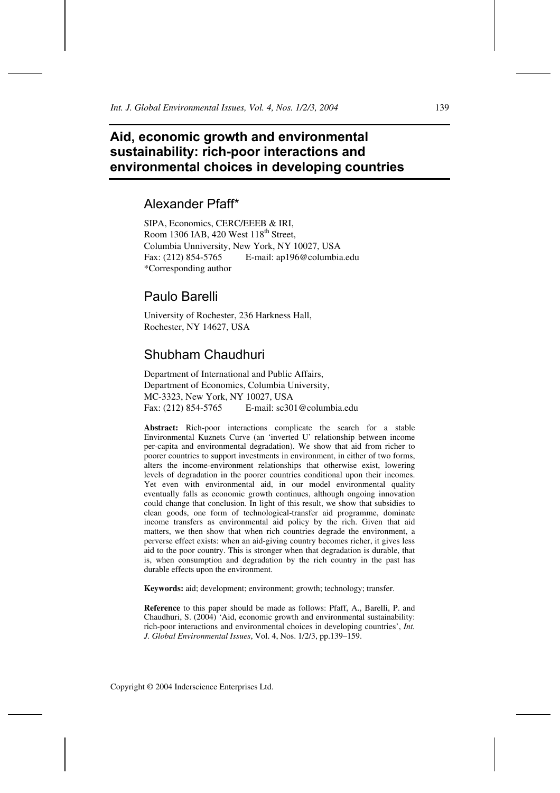# **Aid, economic growth and environmental sustainability: rich-poor interactions and environmental choices in developing countries**

## Alexander Pfaff\*

SIPA, Economics, CERC/EEEB & IRI, Room 1306 IAB,  $420$  West  $118<sup>th</sup>$  Street, Columbia Unniversity, New York, NY 10027, USA Fax: (212) 854-5765 E-mail: ap196@columbia.edu \*Corresponding author

## Paulo Barelli

University of Rochester, 236 Harkness Hall, Rochester, NY 14627, USA

## Shubham Chaudhuri

Department of International and Public Affairs, Department of Economics, Columbia University, MC-3323, New York, NY 10027, USA Fax: (212) 854-5765 E-mail: sc301@columbia.edu

**Abstract:** Rich-poor interactions complicate the search for a stable Environmental Kuznets Curve (an 'inverted U' relationship between income per-capita and environmental degradation). We show that aid from richer to poorer countries to support investments in environment, in either of two forms, alters the income-environment relationships that otherwise exist, lowering levels of degradation in the poorer countries conditional upon their incomes. Yet even with environmental aid, in our model environmental quality eventually falls as economic growth continues, although ongoing innovation could change that conclusion. In light of this result, we show that subsidies to clean goods, one form of technological-transfer aid programme, dominate income transfers as environmental aid policy by the rich. Given that aid matters, we then show that when rich countries degrade the environment, a perverse effect exists: when an aid-giving country becomes richer, it gives less aid to the poor country. This is stronger when that degradation is durable, that is, when consumption and degradation by the rich country in the past has durable effects upon the environment.

**Keywords:** aid; development; environment; growth; technology; transfer.

**Reference** to this paper should be made as follows: Pfaff, A., Barelli, P. and Chaudhuri, S. (2004) 'Aid, economic growth and environmental sustainability: rich-poor interactions and environmental choices in developing countries', *Int. J. Global Environmental Issues*, Vol. 4, Nos. 1/2/3, pp.139–159.

Copyright © 2004 Inderscience Enterprises Ltd.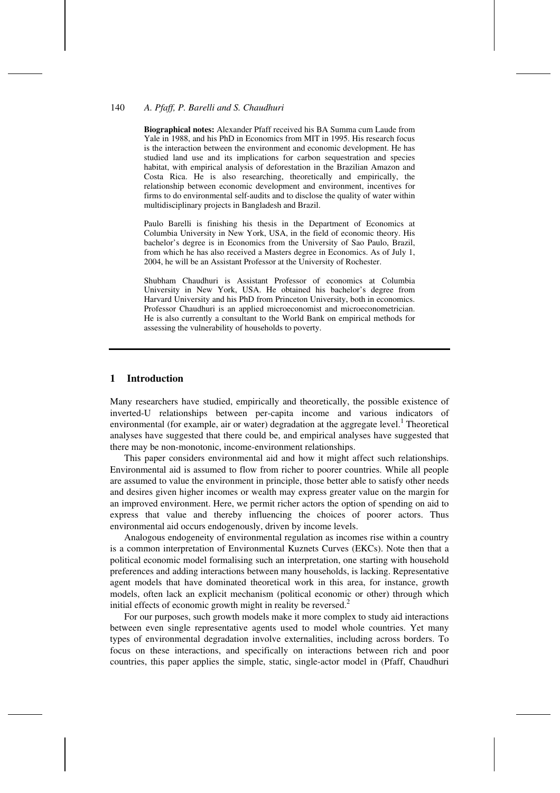**Biographical notes:** Alexander Pfaff received his BA Summa cum Laude from Yale in 1988, and his PhD in Economics from MIT in 1995. His research focus is the interaction between the environment and economic development. He has studied land use and its implications for carbon sequestration and species habitat, with empirical analysis of deforestation in the Brazilian Amazon and Costa Rica. He is also researching, theoretically and empirically, the relationship between economic development and environment, incentives for firms to do environmental self-audits and to disclose the quality of water within multidisciplinary projects in Bangladesh and Brazil.

Paulo Barelli is finishing his thesis in the Department of Economics at Columbia University in New York, USA, in the field of economic theory. His bachelor's degree is in Economics from the University of Sao Paulo, Brazil, from which he has also received a Masters degree in Economics. As of July 1, 2004, he will be an Assistant Professor at the University of Rochester.

Shubham Chaudhuri is Assistant Professor of economics at Columbia University in New York, USA. He obtained his bachelor's degree from Harvard University and his PhD from Princeton University, both in economics. Professor Chaudhuri is an applied microeconomist and microeconometrician. He is also currently a consultant to the World Bank on empirical methods for assessing the vulnerability of households to poverty.

### **1 Introduction**

Many researchers have studied, empirically and theoretically, the possible existence of inverted-U relationships between per-capita income and various indicators of environmental (for example, air or water) degradation at the aggregate level.<sup>1</sup> Theoretical analyses have suggested that there could be, and empirical analyses have suggested that there may be non-monotonic, income-environment relationships.

This paper considers environmental aid and how it might affect such relationships. Environmental aid is assumed to flow from richer to poorer countries. While all people are assumed to value the environment in principle, those better able to satisfy other needs and desires given higher incomes or wealth may express greater value on the margin for an improved environment. Here, we permit richer actors the option of spending on aid to express that value and thereby influencing the choices of poorer actors. Thus environmental aid occurs endogenously, driven by income levels.

Analogous endogeneity of environmental regulation as incomes rise within a country is a common interpretation of Environmental Kuznets Curves (EKCs). Note then that a political economic model formalising such an interpretation, one starting with household preferences and adding interactions between many households, is lacking. Representative agent models that have dominated theoretical work in this area, for instance, growth models, often lack an explicit mechanism (political economic or other) through which initial effects of economic growth might in reality be reversed. $2$ 

For our purposes, such growth models make it more complex to study aid interactions between even single representative agents used to model whole countries. Yet many types of environmental degradation involve externalities, including across borders. To focus on these interactions, and specifically on interactions between rich and poor countries, this paper applies the simple, static, single-actor model in (Pfaff, Chaudhuri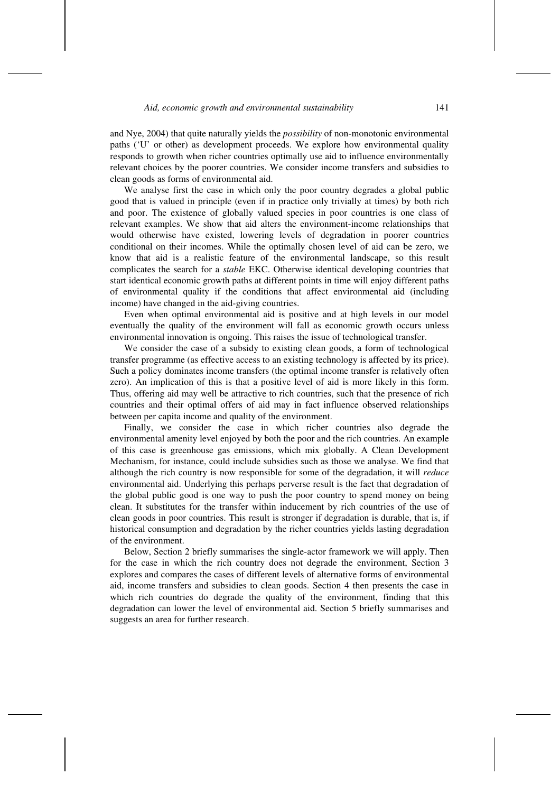and Nye, 2004) that quite naturally yields the *possibility* of non-monotonic environmental paths ('U' or other) as development proceeds. We explore how environmental quality responds to growth when richer countries optimally use aid to influence environmentally relevant choices by the poorer countries. We consider income transfers and subsidies to clean goods as forms of environmental aid.

We analyse first the case in which only the poor country degrades a global public good that is valued in principle (even if in practice only trivially at times) by both rich and poor. The existence of globally valued species in poor countries is one class of relevant examples. We show that aid alters the environment-income relationships that would otherwise have existed, lowering levels of degradation in poorer countries conditional on their incomes. While the optimally chosen level of aid can be zero, we know that aid is a realistic feature of the environmental landscape, so this result complicates the search for a *stable* EKC. Otherwise identical developing countries that start identical economic growth paths at different points in time will enjoy different paths of environmental quality if the conditions that affect environmental aid (including income) have changed in the aid-giving countries.

Even when optimal environmental aid is positive and at high levels in our model eventually the quality of the environment will fall as economic growth occurs unless environmental innovation is ongoing. This raises the issue of technological transfer.

We consider the case of a subsidy to existing clean goods, a form of technological transfer programme (as effective access to an existing technology is affected by its price). Such a policy dominates income transfers (the optimal income transfer is relatively often zero). An implication of this is that a positive level of aid is more likely in this form. Thus, offering aid may well be attractive to rich countries, such that the presence of rich countries and their optimal offers of aid may in fact influence observed relationships between per capita income and quality of the environment.

Finally, we consider the case in which richer countries also degrade the environmental amenity level enjoyed by both the poor and the rich countries. An example of this case is greenhouse gas emissions, which mix globally. A Clean Development Mechanism, for instance, could include subsidies such as those we analyse. We find that although the rich country is now responsible for some of the degradation, it will *reduce* environmental aid. Underlying this perhaps perverse result is the fact that degradation of the global public good is one way to push the poor country to spend money on being clean. It substitutes for the transfer within inducement by rich countries of the use of clean goods in poor countries. This result is stronger if degradation is durable, that is, if historical consumption and degradation by the richer countries yields lasting degradation of the environment.

Below, Section 2 briefly summarises the single-actor framework we will apply. Then for the case in which the rich country does not degrade the environment, Section 3 explores and compares the cases of different levels of alternative forms of environmental aid, income transfers and subsidies to clean goods. Section 4 then presents the case in which rich countries do degrade the quality of the environment, finding that this degradation can lower the level of environmental aid. Section 5 briefly summarises and suggests an area for further research.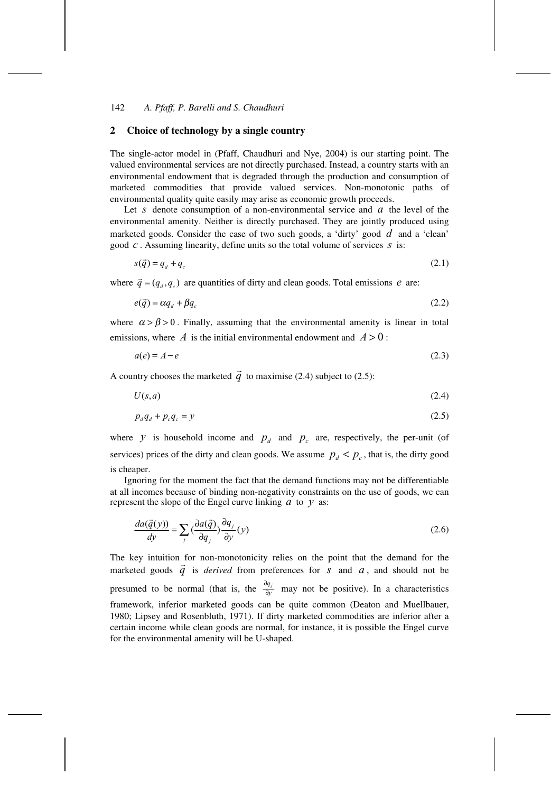### **2 Choice of technology by a single country**

The single-actor model in (Pfaff, Chaudhuri and Nye, 2004) is our starting point. The valued environmental services are not directly purchased. Instead, a country starts with an environmental endowment that is degraded through the production and consumption of marketed commodities that provide valued services. Non-monotonic paths of environmental quality quite easily may arise as economic growth proceeds.

Let  $S$  denote consumption of a non-environmental service and  $a$  the level of the environmental amenity. Neither is directly purchased. They are jointly produced using marketed goods. Consider the case of two such goods, a 'dirty' good *d* and a 'clean' good *c* . Assuming linearity, define units so the total volume of services *s* is:

$$
s(\vec{q}) = q_d + q_c \tag{2.1}
$$

where  $\vec{q} = (q_a, q_c)$  are quantities of dirty and clean goods. Total emissions *e* are:

$$
e(\vec{q}) = \alpha q_d + \beta q_c \tag{2.2}
$$

where  $\alpha > \beta > 0$ . Finally, assuming that the environmental amenity is linear in total emissions, where *A* is the initial environmental endowment and  $A > 0$ :

$$
a(e) = A - e \tag{2.3}
$$

A country chooses the marketed  $\vec{q}$  to maximise (2.4) subject to (2.5):

$$
U(s,a) \tag{2.4}
$$

$$
p_d q_d + p_c q_c = y \tag{2.5}
$$

where *y* is household income and  $p_d$  and  $p_c$  are, respectively, the per-unit (of services) prices of the dirty and clean goods. We assume  $p_d < p_c$ , that is, the dirty good is cheaper.

Ignoring for the moment the fact that the demand functions may not be differentiable at all incomes because of binding non-negativity constraints on the use of goods, we can represent the slope of the Engel curve linking *a* to *y* as:

$$
\frac{da(\vec{q}(y))}{dy} = \sum_{j} \left(\frac{\partial a(\vec{q})}{\partial q_j}\right) \frac{\partial q_j}{\partial y}(y)
$$
\n(2.6)

The key intuition for non-monotonicity relies on the point that the demand for the marketed goods  $\vec{q}$  is *derived* from preferences for *s* and *a*, and should not be presumed to be normal (that is, the  $\frac{\partial q_j}{\partial y}$  $\frac{\partial q_j}{\partial y}$  may not be positive). In a characteristics framework, inferior marketed goods can be quite common (Deaton and Muellbauer, 1980; Lipsey and Rosenbluth, 1971). If dirty marketed commodities are inferior after a certain income while clean goods are normal, for instance, it is possible the Engel curve for the environmental amenity will be U-shaped.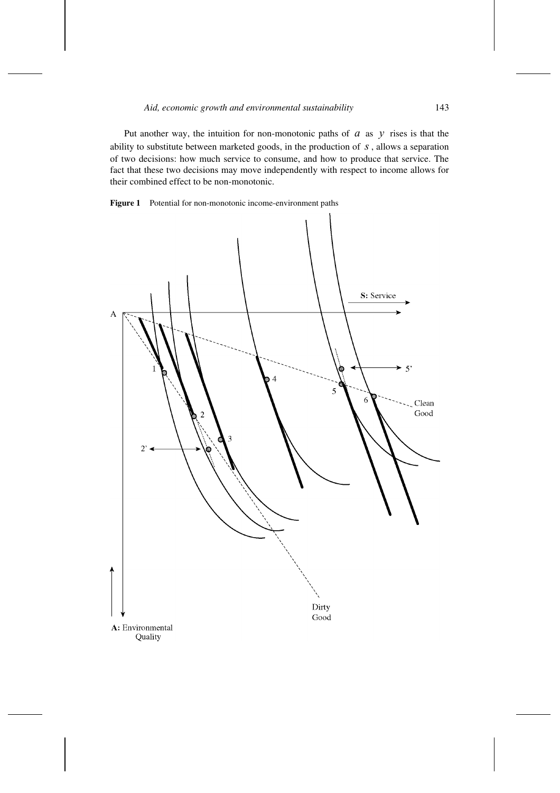Put another way, the intuition for non-monotonic paths of  $a$  as  $y$  rises is that the ability to substitute between marketed goods, in the production of *s* , allows a separation of two decisions: how much service to consume, and how to produce that service. The fact that these two decisions may move independently with respect to income allows for their combined effect to be non-monotonic.

**Figure 1** Potential for non-monotonic income-environment paths

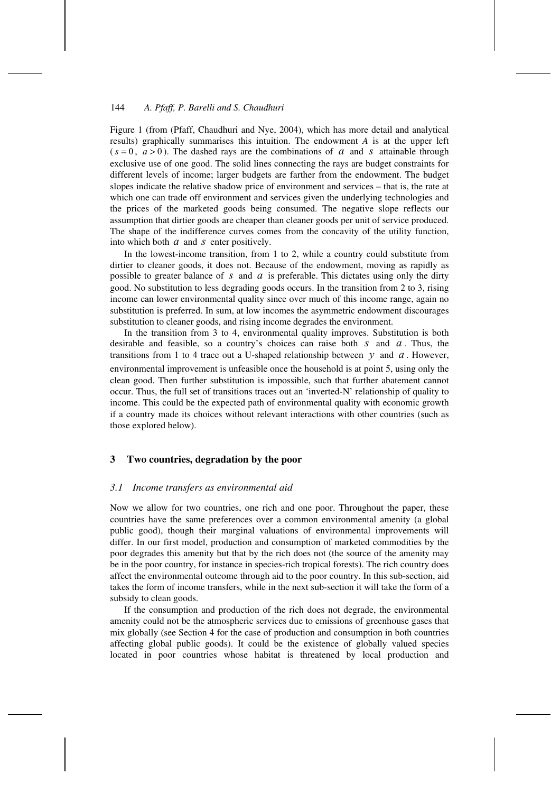Figure 1 (from (Pfaff, Chaudhuri and Nye, 2004), which has more detail and analytical results) graphically summarises this intuition. The endowment *A* is at the upper left  $(s = 0, a > 0)$ . The dashed rays are the combinations of *a* and *s* attainable through exclusive use of one good. The solid lines connecting the rays are budget constraints for different levels of income; larger budgets are farther from the endowment. The budget slopes indicate the relative shadow price of environment and services – that is, the rate at which one can trade off environment and services given the underlying technologies and the prices of the marketed goods being consumed. The negative slope reflects our assumption that dirtier goods are cheaper than cleaner goods per unit of service produced. The shape of the indifference curves comes from the concavity of the utility function, into which both *a* and *s* enter positively.

In the lowest-income transition, from 1 to 2, while a country could substitute from dirtier to cleaner goods, it does not. Because of the endowment, moving as rapidly as possible to greater balance of *s* and *a* is preferable. This dictates using only the dirty good. No substitution to less degrading goods occurs. In the transition from 2 to 3, rising income can lower environmental quality since over much of this income range, again no substitution is preferred. In sum, at low incomes the asymmetric endowment discourages substitution to cleaner goods, and rising income degrades the environment.

In the transition from 3 to 4, environmental quality improves. Substitution is both desirable and feasible, so a country's choices can raise both *s* and *a* . Thus, the transitions from 1 to 4 trace out a U-shaped relationship between  $y$  and  $a$ . However, environmental improvement is unfeasible once the household is at point 5, using only the clean good. Then further substitution is impossible, such that further abatement cannot occur. Thus, the full set of transitions traces out an 'inverted-N' relationship of quality to income. This could be the expected path of environmental quality with economic growth if a country made its choices without relevant interactions with other countries (such as those explored below).

#### **3 Two countries, degradation by the poor**

#### *3.1 Income transfers as environmental aid*

Now we allow for two countries, one rich and one poor. Throughout the paper, these countries have the same preferences over a common environmental amenity (a global public good), though their marginal valuations of environmental improvements will differ. In our first model, production and consumption of marketed commodities by the poor degrades this amenity but that by the rich does not (the source of the amenity may be in the poor country, for instance in species-rich tropical forests). The rich country does affect the environmental outcome through aid to the poor country. In this sub-section, aid takes the form of income transfers, while in the next sub-section it will take the form of a subsidy to clean goods.

If the consumption and production of the rich does not degrade, the environmental amenity could not be the atmospheric services due to emissions of greenhouse gases that mix globally (see Section 4 for the case of production and consumption in both countries affecting global public goods). It could be the existence of globally valued species located in poor countries whose habitat is threatened by local production and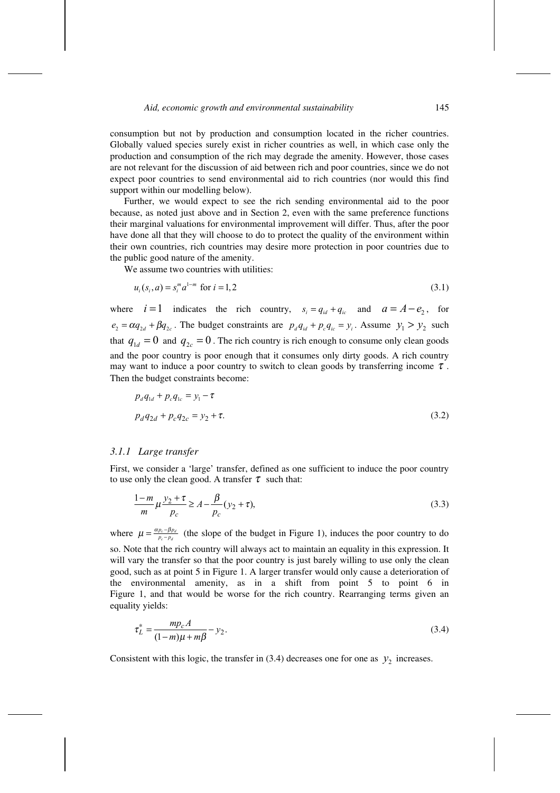consumption but not by production and consumption located in the richer countries. Globally valued species surely exist in richer countries as well, in which case only the production and consumption of the rich may degrade the amenity. However, those cases are not relevant for the discussion of aid between rich and poor countries, since we do not expect poor countries to send environmental aid to rich countries (nor would this find support within our modelling below).

Further, we would expect to see the rich sending environmental aid to the poor because, as noted just above and in Section 2, even with the same preference functions their marginal valuations for environmental improvement will differ. Thus, after the poor have done all that they will choose to do to protect the quality of the environment within their own countries, rich countries may desire more protection in poor countries due to the public good nature of the amenity.

We assume two countries with utilities:

$$
u_i(s_i, a) = s_i^m a^{1-m} \text{ for } i = 1, 2
$$
 (3.1)

where  $i = 1$  indicates the rich country,  $s_i = q_{id} + q_{ic}$  and  $a = A - e_2$ , for  $e_2 = \alpha q_{2d} + \beta q_{2c}$ . The budget constraints are  $p_d q_{id} + p_c q_{ic} = y_i$ . Assume  $y_1 > y_2$  such that  $q_{1d} = 0$  and  $q_{2c} = 0$ . The rich country is rich enough to consume only clean goods and the poor country is poor enough that it consumes only dirty goods. A rich country may want to induce a poor country to switch to clean goods by transferring income  $\tau$ . Then the budget constraints become:

$$
p_d q_{1d} + p_c q_{1c} = y_1 - \tau
$$
  
\n
$$
p_d q_{2d} + p_c q_{2c} = y_2 + \tau.
$$
\n(3.2)

## *3.1.1 Large transfer*

First, we consider a 'large' transfer, defined as one sufficient to induce the poor country to use only the clean good. A transfer  $\tau$  such that:

$$
\frac{1-m}{m}\mu \frac{y_2 + \tau}{p_c} \ge A - \frac{\beta}{p_c}(y_2 + \tau),
$$
\n(3.3)

where  $\mu = \frac{\alpha p_c - p p_d}{p_c - p_d}$ *p<sub>c</sub>* – β*p*  $\mu = \frac{\alpha p_c - \beta p_d}{p_c - p_d}$  (the slope of the budget in Figure 1), induces the poor country to do so. Note that the rich country will always act to maintain an equality in this expression. It will vary the transfer so that the poor country is just barely willing to use only the clean good, such as at point 5 in Figure 1. A larger transfer would only cause a deterioration of the environmental amenity, as in a shift from point 5 to point 6 in Figure 1, and that would be worse for the rich country. Rearranging terms given an equality yields:

$$
\tau_L^* = \frac{mp_c A}{(1-m)\mu + m\beta} - y_2.
$$
\n(3.4)

Consistent with this logic, the transfer in  $(3.4)$  decreases one for one as  $y_2$  increases.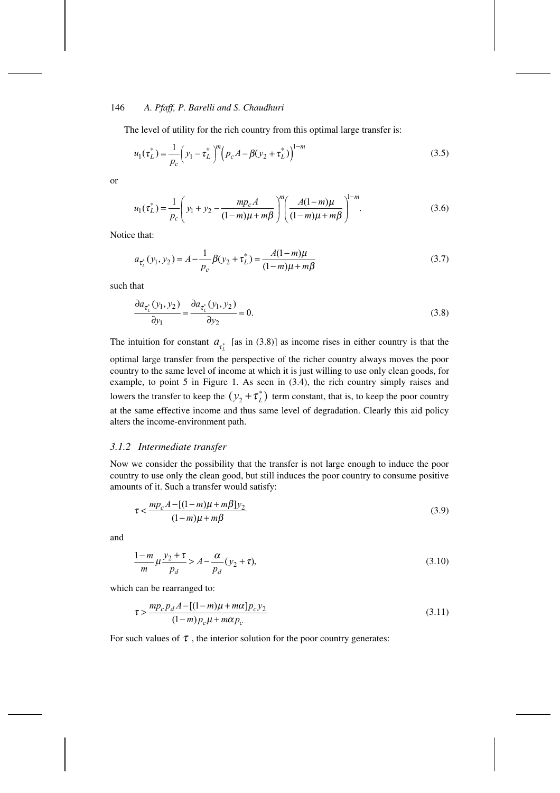The level of utility for the rich country from this optimal large transfer is:

$$
u_1(\tau_L^*) = \frac{1}{p_c} \left( y_1 - \tau_L^* \right)^m \left( p_c A - \beta (y_2 + \tau_L^*) \right)^{1-m}
$$
\n(3.5)

or

$$
u_1(\tau_L^*) = \frac{1}{p_c} \left( y_1 + y_2 - \frac{mp_c A}{(1-m)\mu + m\beta} \right)^m \left( \frac{A(1-m)\mu}{(1-m)\mu + m\beta} \right)^{1-m}.
$$
 (3.6)

Notice that:

$$
a_{\tau_L^*}(y_1, y_2) = A - \frac{1}{p_c} \beta(y_2 + \tau_L^*) = \frac{A(1-m)\mu}{(1-m)\mu + m\beta}
$$
(3.7)

such that

$$
\frac{\partial a_{\tau_L^*}(y_1, y_2)}{\partial y_1} = \frac{\partial a_{\tau_L^*}(y_1, y_2)}{\partial y_2} = 0.
$$
\n(3.8)

The intuition for constant  $a_{\tau_L^*}$  [as in (3.8)] as income rises in either country is that the optimal large transfer from the perspective of the richer country always moves the poor country to the same level of income at which it is just willing to use only clean goods, for example, to point 5 in Figure 1. As seen in (3.4), the rich country simply raises and lowers the transfer to keep the  $(y_2 + \tau_L^*)$  term constant, that is, to keep the poor country at the same effective income and thus same level of degradation. Clearly this aid policy alters the income-environment path.

#### *3.1.2 Intermediate transfer*

Now we consider the possibility that the transfer is not large enough to induce the poor country to use only the clean good, but still induces the poor country to consume positive amounts of it. Such a transfer would satisfy:

$$
\tau < \frac{mp_c A - [(1-m)\mu + m\beta]y_2}{(1-m)\mu + m\beta} \tag{3.9}
$$

and

$$
\frac{1-m}{m}\mu \frac{y_2 + \tau}{p_d} > A - \frac{\alpha}{p_d}(y_2 + \tau),
$$
\n(3.10)

which can be rearranged to:

$$
\tau > \frac{mp_c p_d A - [(1-m)\mu + m\alpha]p_c y_2}{(1-m)p_c \mu + m\alpha p_c} \tag{3.11}
$$

For such values of  $\tau$ , the interior solution for the poor country generates: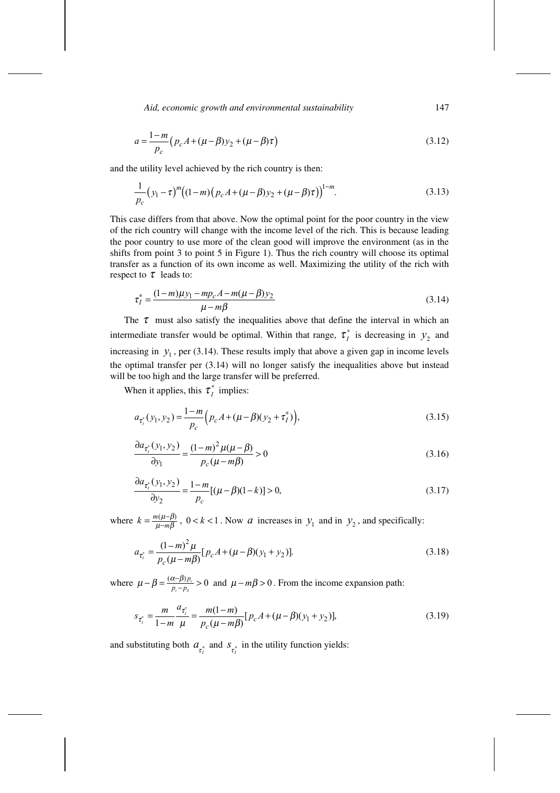*Aid, economic growth and environmental sustainability* 147

$$
a = \frac{1 - m}{p_c} \left( p_c A + (\mu - \beta) y_2 + (\mu - \beta) \tau \right)
$$
\n(3.12)

and the utility level achieved by the rich country is then:

$$
\frac{1}{p_c} (y_1 - \tau)^m ((1 - m) (p_c A + (\mu - \beta) y_2 + (\mu - \beta) \tau))^{1 - m}.
$$
\n(3.13)

This case differs from that above. Now the optimal point for the poor country in the view of the rich country will change with the income level of the rich. This is because leading the poor country to use more of the clean good will improve the environment (as in the shifts from point 3 to point 5 in Figure 1). Thus the rich country will choose its optimal transfer as a function of its own income as well. Maximizing the utility of the rich with respect to  $\tau$  leads to:

$$
\tau_I^* = \frac{(1-m)\mu y_1 - m p_c A - m(\mu - \beta)y_2}{\mu - m\beta} \tag{3.14}
$$

The  $\tau$  must also satisfy the inequalities above that define the interval in which an intermediate transfer would be optimal. Within that range,  $\tau_i^*$  is decreasing in  $y_2$  and increasing in  $y_1$ , per (3.14). These results imply that above a given gap in income levels the optimal transfer per (3.14) will no longer satisfy the inequalities above but instead will be too high and the large transfer will be preferred.

When it applies, this  $\tau_I^*$  implies:

$$
a_{\tau_i^*}(y_1, y_2) = \frac{1-m}{p_c} \Big( p_c A + (\mu - \beta)(y_2 + \tau_i^*) \Big), \tag{3.15}
$$

$$
\frac{\partial a_{\tau_i^*}(y_1, y_2)}{\partial y_1} = \frac{(1-m)^2 \mu(\mu - \beta)}{p_c(\mu - m\beta)} > 0
$$
\n(3.16)

$$
\frac{\partial a_{\tau_i^*}(y_1, y_2)}{\partial y_2} = \frac{1 - m}{p_c} [(\mu - \beta)(1 - k)] > 0,
$$
\n(3.17)

where  $k = \frac{m(\mu-\beta)}{\mu-m\beta}$  $=\frac{m(\mu-\beta)}{\mu-m\beta}$ , 0 < *k* < 1. Now *a* increases in  $y_1$  and in  $y_2$ , and specifically:

$$
a_{\tau_i^*} = \frac{(1-m)^2 \mu}{p_c(\mu - m\beta)} [p_c A + (\mu - \beta)(y_1 + y_2)].
$$
\n(3.18)

where  $\mu - \beta = \frac{(\alpha - \beta)p_c}{p_c - p_d} > 0$ *p*  $\mu - \beta = \frac{(\alpha - \beta) p_c}{p_c - p_d} > 0$  and  $\mu - m\beta > 0$ . From the income expansion path:

$$
s_{\tau_i^*} = \frac{m}{1 - m} \frac{a_{\tau_i^*}}{\mu} = \frac{m(1 - m)}{p_c(\mu - m\beta)} [p_c A + (\mu - \beta)(y_1 + y_2)],
$$
\n(3.19)

and substituting both  $a_{\tau_i^*}$  and  $s_{\tau_i^*}$  in the utility function yields: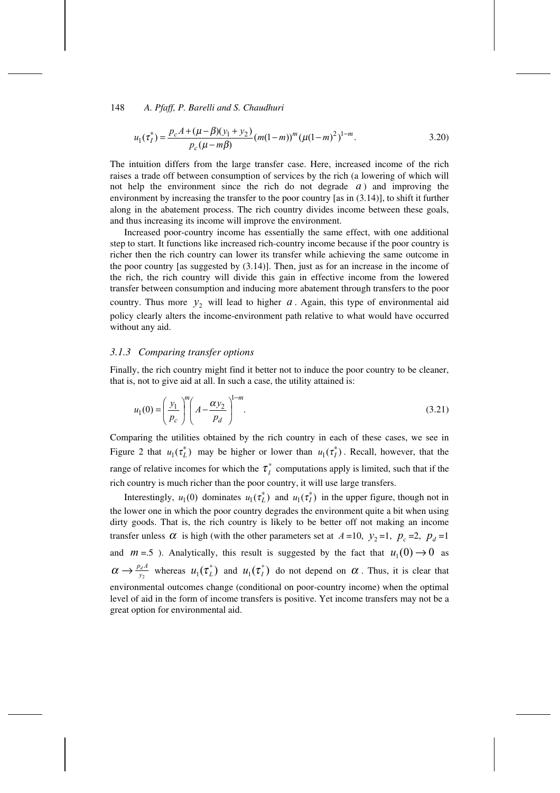$$
u_1(\tau_I^*) = \frac{p_c A + (\mu - \beta)(y_1 + y_2)}{p_c (\mu - m\beta)} (m(1 - m))^m (\mu (1 - m)^2)^{1 - m}.
$$

The intuition differs from the large transfer case. Here, increased income of the rich raises a trade off between consumption of services by the rich (a lowering of which will not help the environment since the rich do not degrade *a* ) and improving the environment by increasing the transfer to the poor country [as in (3.14)], to shift it further along in the abatement process. The rich country divides income between these goals, and thus increasing its income will improve the environment.

Increased poor-country income has essentially the same effect, with one additional step to start. It functions like increased rich-country income because if the poor country is richer then the rich country can lower its transfer while achieving the same outcome in the poor country [as suggested by (3.14)]. Then, just as for an increase in the income of the rich, the rich country will divide this gain in effective income from the lowered transfer between consumption and inducing more abatement through transfers to the poor country. Thus more  $y_2$  will lead to higher  $a$ . Again, this type of environmental aid policy clearly alters the income-environment path relative to what would have occurred without any aid.

#### *3.1.3 Comparing transfer options*

Finally, the rich country might find it better not to induce the poor country to be cleaner, that is, not to give aid at all. In such a case, the utility attained is:

$$
u_1(0) = \left(\frac{y_1}{p_c}\right)^m \left(A - \frac{\alpha y_2}{p_d}\right)^{1-m}.\tag{3.21}
$$

Comparing the utilities obtained by the rich country in each of these cases, we see in Figure 2 that  $u_1(\tau_L^*)$  may be higher or lower than  $u_1(\tau_I^*)$ . Recall, however, that the range of relative incomes for which the  $\tau_i^*$  computations apply is limited, such that if the rich country is much richer than the poor country, it will use large transfers.

Interestingly,  $u_1(0)$  dominates  $u_1(\tau_L^*)$  and  $u_1(\tau_I^*)$  in the upper figure, though not in the lower one in which the poor country degrades the environment quite a bit when using dirty goods. That is, the rich country is likely to be better off not making an income transfer unless  $\alpha$  is high (with the other parameters set at  $A=10$ ,  $y_2=1$ ,  $p_c=2$ ,  $p_d=1$ and *m* =.5 ). Analytically, this result is suggested by the fact that  $u_1(0) \rightarrow 0$  as  $\alpha \rightarrow \frac{p_d A}{y_2}$  whereas  $u_1(\tau_l^*)$  and  $u_1(\tau_l^*)$  do not depend on  $\alpha$ . Thus, it is clear that environmental outcomes change (conditional on poor-country income) when the optimal level of aid in the form of income transfers is positive. Yet income transfers may not be a great option for environmental aid.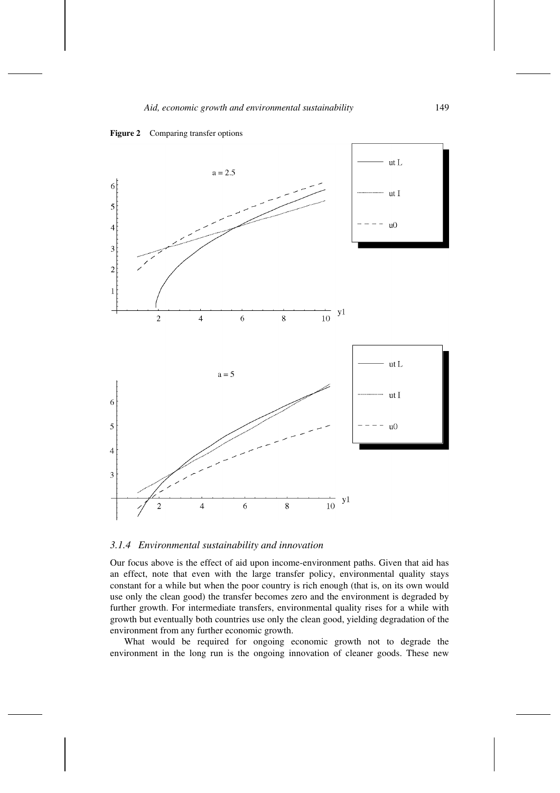

Figure 2 Comparing transfer options

## *3.1.4 Environmental sustainability and innovation*

Our focus above is the effect of aid upon income-environment paths. Given that aid has an effect, note that even with the large transfer policy, environmental quality stays constant for a while but when the poor country is rich enough (that is, on its own would use only the clean good) the transfer becomes zero and the environment is degraded by further growth. For intermediate transfers, environmental quality rises for a while with growth but eventually both countries use only the clean good, yielding degradation of the environment from any further economic growth.

What would be required for ongoing economic growth not to degrade the environment in the long run is the ongoing innovation of cleaner goods. These new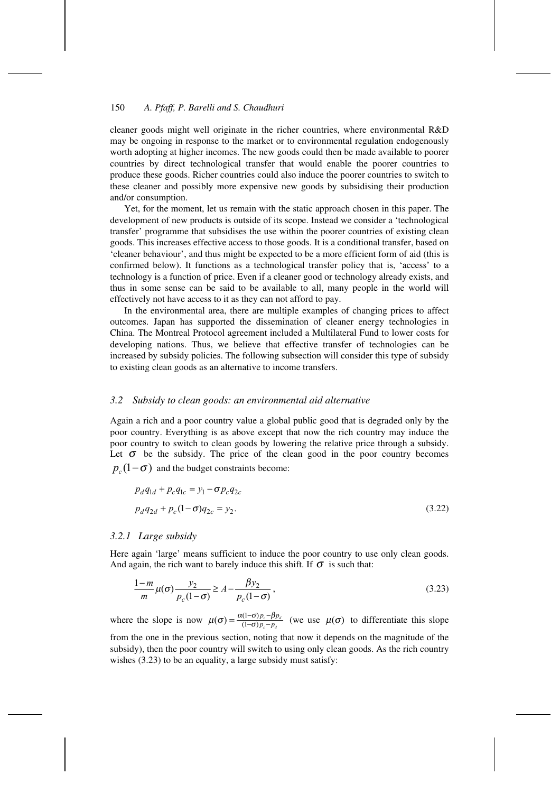cleaner goods might well originate in the richer countries, where environmental R&D may be ongoing in response to the market or to environmental regulation endogenously worth adopting at higher incomes. The new goods could then be made available to poorer countries by direct technological transfer that would enable the poorer countries to produce these goods. Richer countries could also induce the poorer countries to switch to these cleaner and possibly more expensive new goods by subsidising their production and/or consumption.

Yet, for the moment, let us remain with the static approach chosen in this paper. The development of new products is outside of its scope. Instead we consider a 'technological transfer' programme that subsidises the use within the poorer countries of existing clean goods. This increases effective access to those goods. It is a conditional transfer, based on 'cleaner behaviour', and thus might be expected to be a more efficient form of aid (this is confirmed below). It functions as a technological transfer policy that is, 'access' to a technology is a function of price. Even if a cleaner good or technology already exists, and thus in some sense can be said to be available to all, many people in the world will effectively not have access to it as they can not afford to pay.

In the environmental area, there are multiple examples of changing prices to affect outcomes. Japan has supported the dissemination of cleaner energy technologies in China. The Montreal Protocol agreement included a Multilateral Fund to lower costs for developing nations. Thus, we believe that effective transfer of technologies can be increased by subsidy policies. The following subsection will consider this type of subsidy to existing clean goods as an alternative to income transfers.

#### *3.2 Subsidy to clean goods: an environmental aid alternative*

Again a rich and a poor country value a global public good that is degraded only by the poor country. Everything is as above except that now the rich country may induce the poor country to switch to clean goods by lowering the relative price through a subsidy. Let  $\sigma$  be the subsidy. The price of the clean good in the poor country becomes  $p_c(1-\sigma)$  and the budget constraints become:

$$
p_d q_{1d} + p_c q_{1c} = y_1 - \sigma p_c q_{2c}
$$
  
\n
$$
p_d q_{2d} + p_c (1 - \sigma) q_{2c} = y_2.
$$
\n(3.22)

#### *3.2.1 Large subsidy*

Here again 'large' means sufficient to induce the poor country to use only clean goods. And again, the rich want to barely induce this shift. If  $\sigma$  is such that:

$$
\frac{1-m}{m}\mu(\sigma)\frac{y_2}{p_c(1-\sigma)} \ge A - \frac{\beta y_2}{p_c(1-\sigma)},
$$
\n(3.23)

where the slope is now  $\mu(\sigma) = \frac{\alpha(1-\sigma)p_c-\beta p_d}{(1-\sigma)p_c-p_d}$ *p* <sub>c</sub> −βp *p*<sub>c</sub> $-p$  $\mu(\sigma) = \frac{\alpha(1-\sigma)p_c-\beta p_d}{(1-\sigma)p_c-p_d}$  (we use  $\mu(\sigma)$  to differentiate this slope

from the one in the previous section, noting that now it depends on the magnitude of the subsidy), then the poor country will switch to using only clean goods. As the rich country wishes (3.23) to be an equality, a large subsidy must satisfy: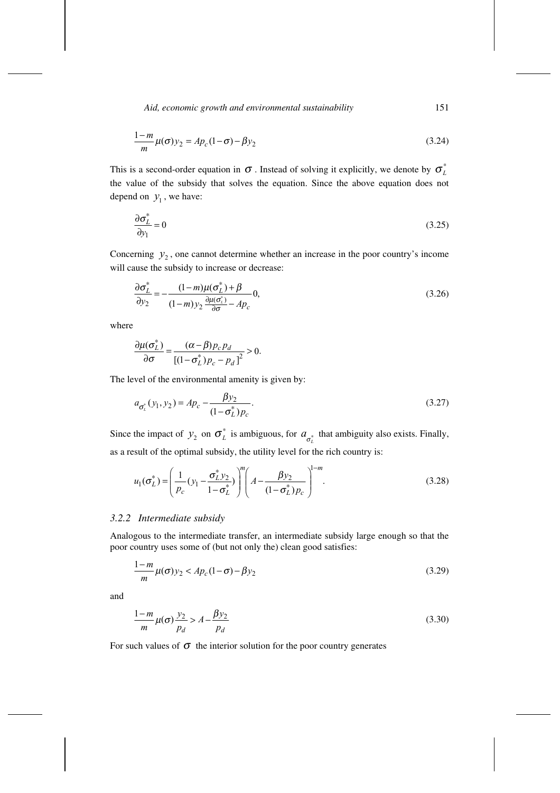*Aid, economic growth and environmental sustainability* 151

$$
\frac{1-m}{m}\mu(\sigma)y_2 = Ap_c(1-\sigma) - \beta y_2
$$
\n(3.24)

This is a second-order equation in  $\sigma$ . Instead of solving it explicitly, we denote by  $\sigma_L^*$ the value of the subsidy that solves the equation. Since the above equation does not depend on  $y_1$ , we have:

$$
\frac{\partial \sigma_L^*}{\partial y_1} = 0 \tag{3.25}
$$

Concerning  $y_2$ , one cannot determine whether an increase in the poor country's income will cause the subsidy to increase or decrease:

$$
\frac{\partial \sigma_L^*}{\partial y_2} = -\frac{(1-m)\mu(\sigma_L^*) + \beta}{(1-m)y_2 \frac{\partial \mu(\sigma_L^*)}{\partial \sigma} - Ap_c} 0,
$$
\n(3.26)

where

$$
\frac{\partial \mu(\sigma_L^*)}{\partial \sigma} = \frac{(\alpha - \beta) p_c p_d}{[(1 - \sigma_L^*) p_c - p_d]^2} > 0.
$$

The level of the environmental amenity is given by:

$$
a_{\sigma_L^*}(y_1, y_2) = Ap_c - \frac{\beta y_2}{(1 - \sigma_L^*) p_c}.
$$
\n(3.27)

Since the impact of  $y_2$  on  $\sigma_L^*$  is ambiguous, for  $a_{\sigma_L^*}$  that ambiguity also exists. Finally, as a result of the optimal subsidy, the utility level for the rich country is:

$$
u_1(\sigma_L^*) = \left(\frac{1}{p_c}(y_1 - \frac{\sigma_L^* y_2}{1 - \sigma_L^*})\right)^m \left(A - \frac{\beta y_2}{(1 - \sigma_L^*) p_c}\right)^{1 - m}.
$$
 (3.28)

## *3.2.2 Intermediate subsidy*

Analogous to the intermediate transfer, an intermediate subsidy large enough so that the poor country uses some of (but not only the) clean good satisfies:

$$
\frac{1-m}{m}\mu(\sigma)y_2 < Ap_c(1-\sigma) - \beta y_2\tag{3.29}
$$

and

$$
\frac{1-m}{m}\mu(\sigma)\frac{y_2}{p_d} > A - \frac{\beta y_2}{p_d} \tag{3.30}
$$

For such values of  $\sigma$  the interior solution for the poor country generates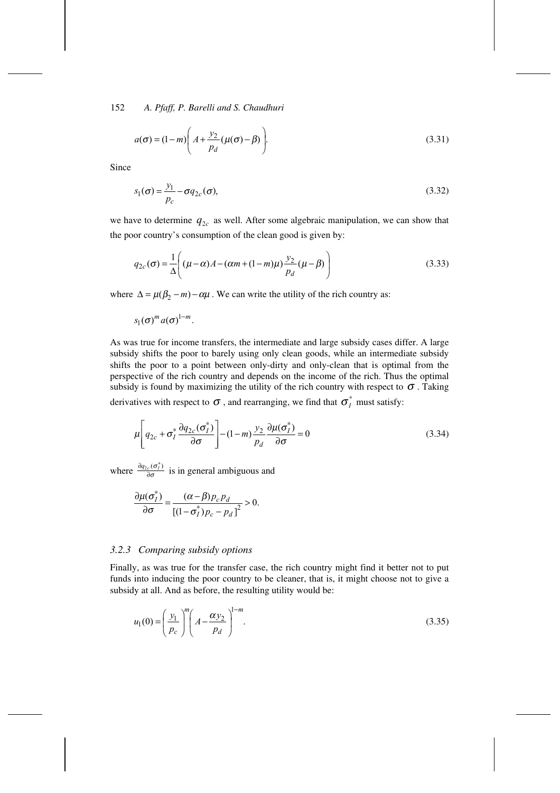$$
a(\sigma) = (1 - m) \left( A + \frac{y_2}{p_d} (\mu(\sigma) - \beta) \right).
$$
 (3.31)

Since

$$
s_1(\sigma) = \frac{y_1}{p_c} - \sigma q_{2c}(\sigma),
$$
\n(3.32)

we have to determine  $q_{2c}$  as well. After some algebraic manipulation, we can show that the poor country's consumption of the clean good is given by:

$$
q_{2c}(\sigma) = \frac{1}{\Delta} \left( (\mu - \alpha) A - (\alpha m + (1 - m)\mu) \frac{y_2}{p_d} (\mu - \beta) \right)
$$
(3.33)

where  $\Delta = \mu(\beta_2 - m) - \alpha\mu$ . We can write the utility of the rich country as:

 $s_1(\sigma)^m a(\sigma)^{1-m}.$ 

As was true for income transfers, the intermediate and large subsidy cases differ. A large subsidy shifts the poor to barely using only clean goods, while an intermediate subsidy shifts the poor to a point between only-dirty and only-clean that is optimal from the perspective of the rich country and depends on the income of the rich. Thus the optimal subsidy is found by maximizing the utility of the rich country with respect to  $\sigma$ . Taking derivatives with respect to  $\sigma$ , and rearranging, we find that  $\sigma_I^*$  must satisfy:

$$
\mu \left[ q_{2c} + \sigma_I^* \frac{\partial q_{2c}(\sigma_I^*)}{\partial \sigma} \right] - (1 - m) \frac{y_2}{p_d} \frac{\partial \mu(\sigma_I^*)}{\partial \sigma} = 0 \tag{3.34}
$$

where  $\frac{\partial q_{2c}(\sigma_i^*)}{\partial \sigma}$  is in general ambiguous and

$$
\frac{\partial \mu(\sigma_I^*)}{\partial \sigma} = \frac{(\alpha - \beta) p_c p_d}{\left[ (1 - \sigma_I^*) p_c - p_d \right]^2} > 0.
$$

## *3.2.3 Comparing subsidy options*

Finally, as was true for the transfer case, the rich country might find it better not to put funds into inducing the poor country to be cleaner, that is, it might choose not to give a subsidy at all. And as before, the resulting utility would be:

$$
u_1(0) = \left(\frac{y_1}{p_c}\right)^m \left(A - \frac{\alpha y_2}{p_d}\right)^{1-m}.\tag{3.35}
$$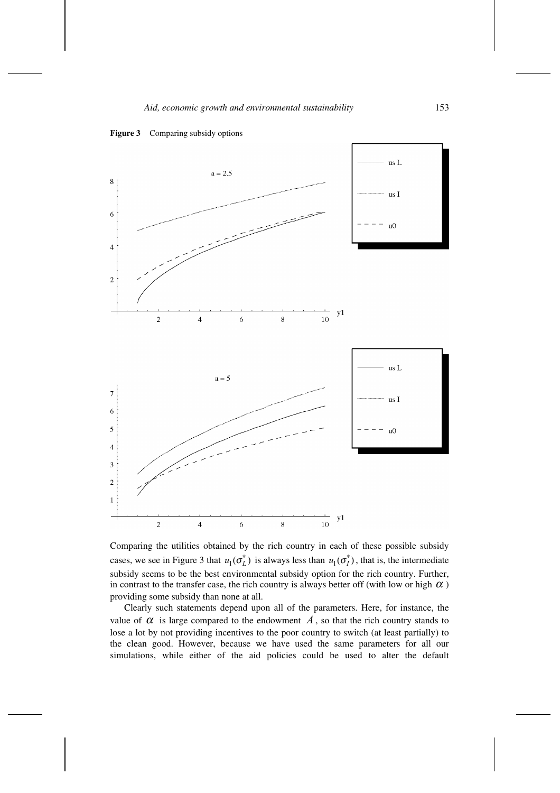

Figure 3 Comparing subsidy options

Comparing the utilities obtained by the rich country in each of these possible subsidy cases, we see in Figure 3 that  $u_1(\sigma_l^*)$  is always less than  $u_1(\sigma_l^*)$ , that is, the intermediate subsidy seems to be the best environmental subsidy option for the rich country. Further, in contrast to the transfer case, the rich country is always better off (with low or high  $\alpha$ ) providing some subsidy than none at all.

Clearly such statements depend upon all of the parameters. Here, for instance, the value of  $\alpha$  is large compared to the endowment  $\hat{A}$ , so that the rich country stands to lose a lot by not providing incentives to the poor country to switch (at least partially) to the clean good. However, because we have used the same parameters for all our simulations, while either of the aid policies could be used to alter the default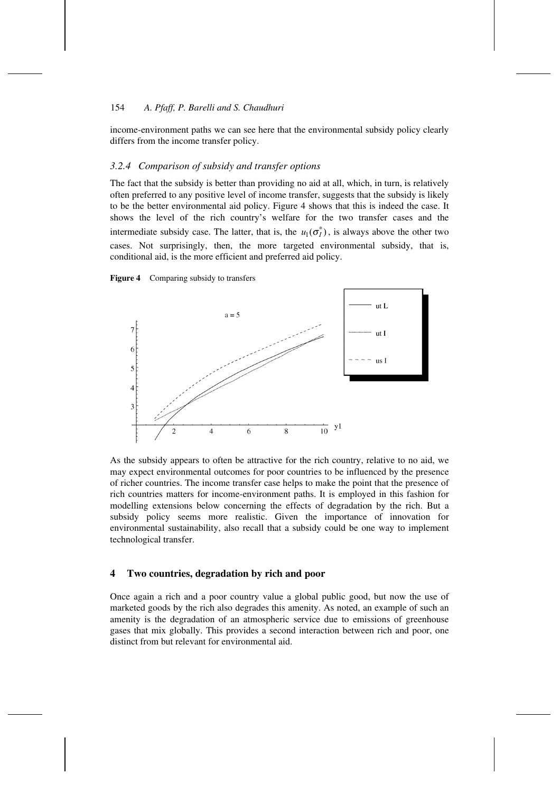income-environment paths we can see here that the environmental subsidy policy clearly differs from the income transfer policy.

#### *3.2.4 Comparison of subsidy and transfer options*

The fact that the subsidy is better than providing no aid at all, which, in turn, is relatively often preferred to any positive level of income transfer, suggests that the subsidy is likely to be the better environmental aid policy. Figure 4 shows that this is indeed the case. It shows the level of the rich country's welfare for the two transfer cases and the intermediate subsidy case. The latter, that is, the  $u_1(\sigma_i^*)$ , is always above the other two cases. Not surprisingly, then, the more targeted environmental subsidy, that is, conditional aid, is the more efficient and preferred aid policy.

#### **Figure 4** Comparing subsidy to transfers



As the subsidy appears to often be attractive for the rich country, relative to no aid, we may expect environmental outcomes for poor countries to be influenced by the presence of richer countries. The income transfer case helps to make the point that the presence of rich countries matters for income-environment paths. It is employed in this fashion for modelling extensions below concerning the effects of degradation by the rich. But a subsidy policy seems more realistic. Given the importance of innovation for environmental sustainability, also recall that a subsidy could be one way to implement technological transfer.

### **4 Two countries, degradation by rich and poor**

Once again a rich and a poor country value a global public good, but now the use of marketed goods by the rich also degrades this amenity. As noted, an example of such an amenity is the degradation of an atmospheric service due to emissions of greenhouse gases that mix globally. This provides a second interaction between rich and poor, one distinct from but relevant for environmental aid.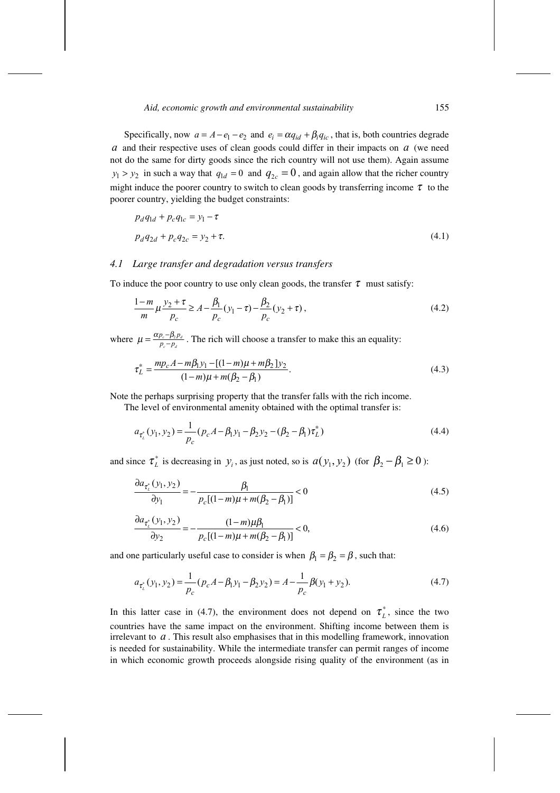Specifically, now  $a = A - e_1 - e_2$  and  $e_i = \alpha q_{id} + \beta_i q_{ic}$ , that is, both countries degrade *a* and their respective uses of clean goods could differ in their impacts on *a* (we need not do the same for dirty goods since the rich country will not use them). Again assume  $y_1 > y_2$  in such a way that  $q_{1d} = 0$  and  $q_{2c} = 0$ , and again allow that the richer country might induce the poorer country to switch to clean goods by transferring income  $\tau$  to the poorer country, yielding the budget constraints:

$$
p_d q_{1d} + p_c q_{1c} = y_1 - \tau
$$
  
\n
$$
p_d q_{2d} + p_c q_{2c} = y_2 + \tau.
$$
\n(4.1)

#### *4.1 Large transfer and degradation versus transfers*

To induce the poor country to use only clean goods, the transfer  $\tau$  must satisfy:

$$
\frac{1-m}{m}\mu\frac{y_2+\tau}{p_c} \ge A - \frac{\beta_1}{p_c}(y_1-\tau) - \frac{\beta_2}{p_c}(y_2+\tau),
$$
\n(4.2)

where  $\mu = \frac{\mu_{p_c} - \mu_2 \mu_d}{p_c - p_d}$  $p_c-\beta$ ,  $p_c$  $\mu = \frac{\alpha p_c - \beta_2 p_d}{p_c - p_d}$ . The rich will choose a transfer to make this an equality:

$$
\tau_L^* = \frac{mp_c A - m\beta_1 y_1 - [(1-m)\mu + m\beta_2] y_2}{(1-m)\mu + m(\beta_2 - \beta_1)}.
$$
\n(4.3)

Note the perhaps surprising property that the transfer falls with the rich income.

The level of environmental amenity obtained with the optimal transfer is:

$$
a_{\tau_L^*}(y_1, y_2) = \frac{1}{p_c}(p_c A - \beta_1 y_1 - \beta_2 y_2 - (\beta_2 - \beta_1) \tau_L^*)
$$
\n(4.4)

and since  $\tau_L^*$  is decreasing in  $y_i$ , as just noted, so is  $a(y_1, y_2)$  (for  $\beta_2 - \beta_1 \ge 0$ ):

$$
\frac{\partial a_{\tau_L^*}(y_1, y_2)}{\partial y_1} = -\frac{\beta_1}{p_c[(1-m)\mu + m(\beta_2 - \beta_1)]} < 0
$$
\n(4.5)

$$
\frac{\partial a_{\tau_L^*}(y_1, y_2)}{\partial y_2} = -\frac{(1-m)\mu \beta_1}{p_c[(1-m)\mu + m(\beta_2 - \beta_1)]} < 0,
$$
\n(4.6)

and one particularly useful case to consider is when  $\beta_1 = \beta_2 = \beta$ , such that:

$$
a_{\tau_L^*}(y_1, y_2) = \frac{1}{p_c}(p_c A - \beta_1 y_1 - \beta_2 y_2) = A - \frac{1}{p_c}\beta(y_1 + y_2).
$$
 (4.7)

In this latter case in (4.7), the environment does not depend on  $\tau_L^*$ , since the two countries have the same impact on the environment. Shifting income between them is irrelevant to *a* . This result also emphasises that in this modelling framework, innovation is needed for sustainability. While the intermediate transfer can permit ranges of income in which economic growth proceeds alongside rising quality of the environment (as in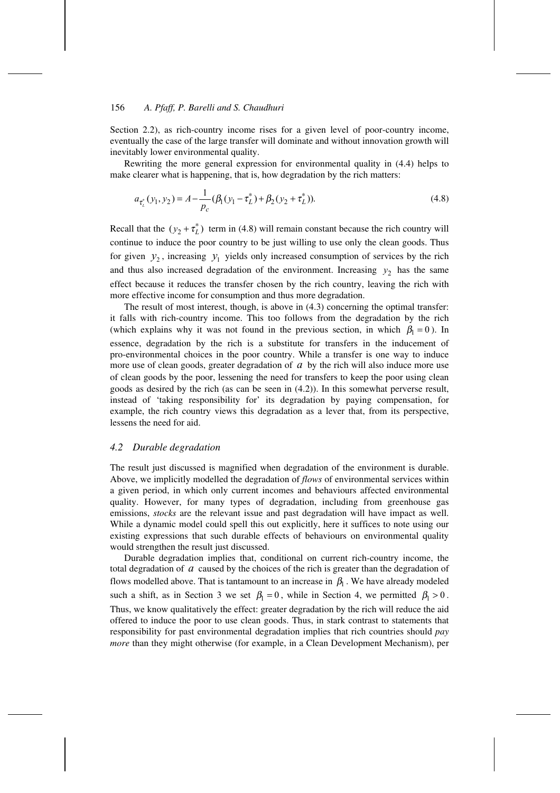Section 2.2), as rich-country income rises for a given level of poor-country income, eventually the case of the large transfer will dominate and without innovation growth will inevitably lower environmental quality.

Rewriting the more general expression for environmental quality in (4.4) helps to make clearer what is happening, that is, how degradation by the rich matters:

$$
a_{\tau_L^*}(y_1, y_2) = A - \frac{1}{p_c} (\beta_1 (y_1 - \tau_L^*) + \beta_2 (y_2 + \tau_L^*)).
$$
\n(4.8)

Recall that the  $(y_2 + \tau_L^*)$  term in (4.8) will remain constant because the rich country will continue to induce the poor country to be just willing to use only the clean goods. Thus for given  $y_2$ , increasing  $y_1$  yields only increased consumption of services by the rich and thus also increased degradation of the environment. Increasing  $y_2$  has the same effect because it reduces the transfer chosen by the rich country, leaving the rich with more effective income for consumption and thus more degradation.

The result of most interest, though, is above in (4.3) concerning the optimal transfer: it falls with rich-country income. This too follows from the degradation by the rich (which explains why it was not found in the previous section, in which  $\beta_1 = 0$ ). In essence, degradation by the rich is a substitute for transfers in the inducement of pro-environmental choices in the poor country. While a transfer is one way to induce more use of clean goods, greater degradation of *a* by the rich will also induce more use of clean goods by the poor, lessening the need for transfers to keep the poor using clean goods as desired by the rich (as can be seen in (4.2)). In this somewhat perverse result, instead of 'taking responsibility for' its degradation by paying compensation, for example, the rich country views this degradation as a lever that, from its perspective, lessens the need for aid.

#### *4.2 Durable degradation*

The result just discussed is magnified when degradation of the environment is durable. Above, we implicitly modelled the degradation of *flows* of environmental services within a given period, in which only current incomes and behaviours affected environmental quality. However, for many types of degradation, including from greenhouse gas emissions, *stocks* are the relevant issue and past degradation will have impact as well. While a dynamic model could spell this out explicitly, here it suffices to note using our existing expressions that such durable effects of behaviours on environmental quality would strengthen the result just discussed.

Durable degradation implies that, conditional on current rich-country income, the total degradation of *a* caused by the choices of the rich is greater than the degradation of flows modelled above. That is tantamount to an increase in  $\beta_1$ . We have already modeled such a shift, as in Section 3 we set  $\beta_1 = 0$ , while in Section 4, we permitted  $\beta_1 > 0$ . Thus, we know qualitatively the effect: greater degradation by the rich will reduce the aid offered to induce the poor to use clean goods. Thus, in stark contrast to statements that responsibility for past environmental degradation implies that rich countries should *pay more* than they might otherwise (for example, in a Clean Development Mechanism), per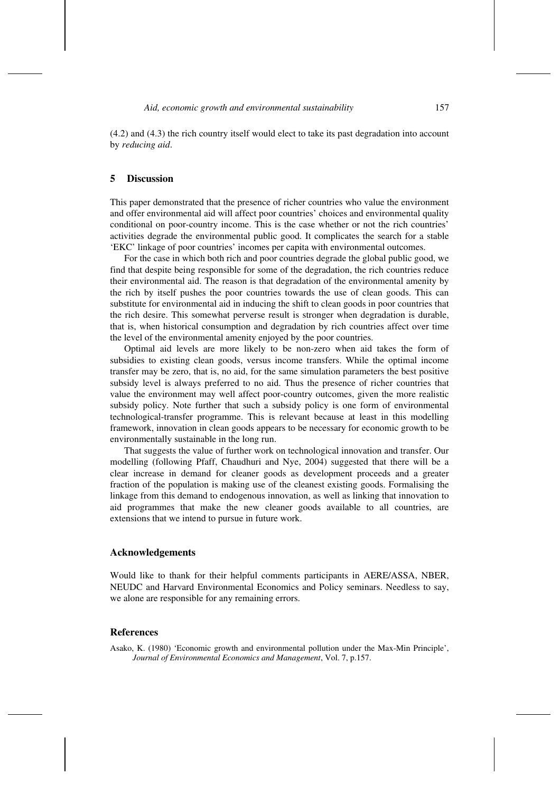(4.2) and (4.3) the rich country itself would elect to take its past degradation into account by *reducing aid*.

## **5 Discussion**

This paper demonstrated that the presence of richer countries who value the environment and offer environmental aid will affect poor countries' choices and environmental quality conditional on poor-country income. This is the case whether or not the rich countries' activities degrade the environmental public good. It complicates the search for a stable 'EKC' linkage of poor countries' incomes per capita with environmental outcomes.

For the case in which both rich and poor countries degrade the global public good, we find that despite being responsible for some of the degradation, the rich countries reduce their environmental aid. The reason is that degradation of the environmental amenity by the rich by itself pushes the poor countries towards the use of clean goods. This can substitute for environmental aid in inducing the shift to clean goods in poor countries that the rich desire. This somewhat perverse result is stronger when degradation is durable, that is, when historical consumption and degradation by rich countries affect over time the level of the environmental amenity enjoyed by the poor countries.

Optimal aid levels are more likely to be non-zero when aid takes the form of subsidies to existing clean goods, versus income transfers. While the optimal income transfer may be zero, that is, no aid, for the same simulation parameters the best positive subsidy level is always preferred to no aid. Thus the presence of richer countries that value the environment may well affect poor-country outcomes, given the more realistic subsidy policy. Note further that such a subsidy policy is one form of environmental technological-transfer programme. This is relevant because at least in this modelling framework, innovation in clean goods appears to be necessary for economic growth to be environmentally sustainable in the long run.

That suggests the value of further work on technological innovation and transfer. Our modelling (following Pfaff, Chaudhuri and Nye, 2004) suggested that there will be a clear increase in demand for cleaner goods as development proceeds and a greater fraction of the population is making use of the cleanest existing goods. Formalising the linkage from this demand to endogenous innovation, as well as linking that innovation to aid programmes that make the new cleaner goods available to all countries, are extensions that we intend to pursue in future work.

#### **Acknowledgements**

Would like to thank for their helpful comments participants in AERE/ASSA, NBER, NEUDC and Harvard Environmental Economics and Policy seminars. Needless to say, we alone are responsible for any remaining errors.

## **References**

Asako, K. (1980) 'Economic growth and environmental pollution under the Max-Min Principle', *Journal of Environmental Economics and Management*, Vol. 7, p.157.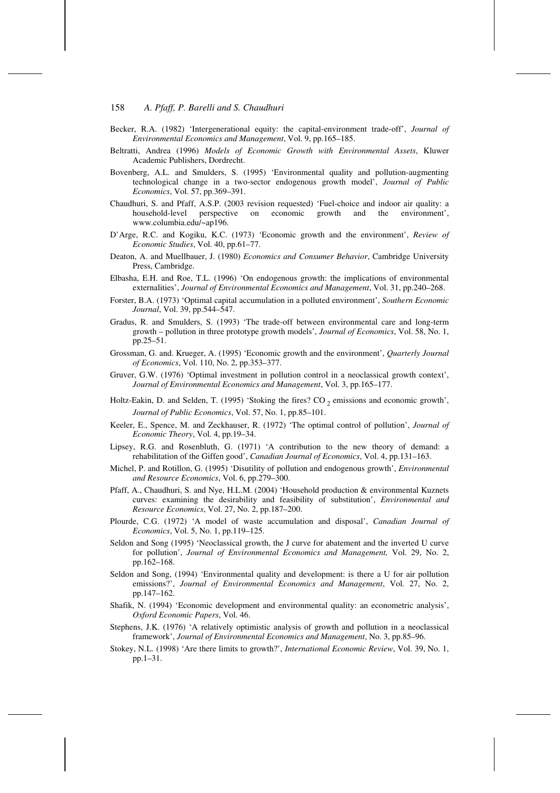- Becker, R.A. (1982) 'Intergenerational equity: the capital-environment trade-off', *Journal of Environmental Economics and Management*, Vol. 9, pp.165–185.
- Beltratti, Andrea (1996) *Models of Economic Growth with Environmental Assets*, Kluwer Academic Publishers, Dordrecht.
- Bovenberg, A.L. and Smulders, S. (1995) 'Environmental quality and pollution-augmenting technological change in a two-sector endogenous growth model', *Journal of Public Economics*, Vol. 57, pp.369–391.
- Chaudhuri, S. and Pfaff, A.S.P. (2003 revision requested) 'Fuel-choice and indoor air quality: a household-level perspective on economic growth and the environment', www.columbia.edu/~ap196.
- D'Arge, R.C. and Kogiku, K.C. (1973) 'Economic growth and the environment', *Review of Economic Studies*, Vol. 40, pp.61–77.
- Deaton, A. and Muellbauer, J. (1980) *Economics and Consumer Behavior*, Cambridge University Press, Cambridge.
- Elbasha, E.H. and Roe, T.L. (1996) 'On endogenous growth: the implications of environmental externalities', *Journal of Environmental Economics and Management*, Vol. 31, pp.240–268.
- Forster, B.A. (1973) 'Optimal capital accumulation in a polluted environment', *Southern Economic Journal*, Vol. 39, pp.544–547.
- Gradus, R. and Smulders, S. (1993) 'The trade-off between environmental care and long-term growth – pollution in three prototype growth models', *Journal of Economics*, Vol. 58, No. 1, pp.25–51.
- Grossman, G. and. Krueger, A. (1995) 'Economic growth and the environment', *Quarterly Journal of Economics*, Vol. 110, No. 2, pp.353–377.
- Gruver, G.W. (1976) 'Optimal investment in pollution control in a neoclassical growth context', *Journal of Environmental Economics and Management*, Vol. 3, pp.165–177.
- Holtz-Eakin, D. and Selden, T. (1995) 'Stoking the fires?  $CO_2$  emissions and economic growth', *Journal of Public Economics*, Vol. 57, No. 1, pp.85–101.
- Keeler, E., Spence, M. and Zeckhauser, R. (1972) 'The optimal control of pollution', *Journal of Economic Theory*, Vol. 4, pp.19–34.
- Lipsey, R.G. and Rosenbluth, G. (1971) 'A contribution to the new theory of demand: a rehabilitation of the Giffen good', *Canadian Journal of Economics*, Vol. 4, pp.131–163.
- Michel, P. and Rotillon, G. (1995) 'Disutility of pollution and endogenous growth', *Environmental and Resource Economics*, Vol. 6, pp.279–300.
- Pfaff, A., Chaudhuri, S. and Nye, H.L.M. (2004) 'Household production & environmental Kuznets curves: examining the desirability and feasibility of substitution', *Environmental and Resource Economics*, Vol. 27, No. 2, pp.187–200.
- Plourde, C.G. (1972) 'A model of waste accumulation and disposal', *Canadian Journal of Economics*, Vol. 5, No. 1, pp.119–125.
- Seldon and Song (1995) 'Neoclassical growth, the J curve for abatement and the inverted U curve for pollution', *Journal of Environmental Economics and Management,* Vol. 29, No. 2, pp.162–168.
- Seldon and Song, (1994) 'Environmental quality and development: is there a U for air pollution emissions?', *Journal of Environmental Economics and Management*, Vol. 27, No. 2, pp.147–162.
- Shafik, N. (1994) 'Economic development and environmental quality: an econometric analysis', *Oxford Economic Papers*, Vol. 46.
- Stephens, J.K. (1976) 'A relatively optimistic analysis of growth and pollution in a neoclassical framework', *Journal of Environmental Economics and Management*, No. 3, pp.85–96.
- Stokey, N.L. (1998) 'Are there limits to growth?', *International Economic Review*, Vol. 39, No. 1, pp.1–31.